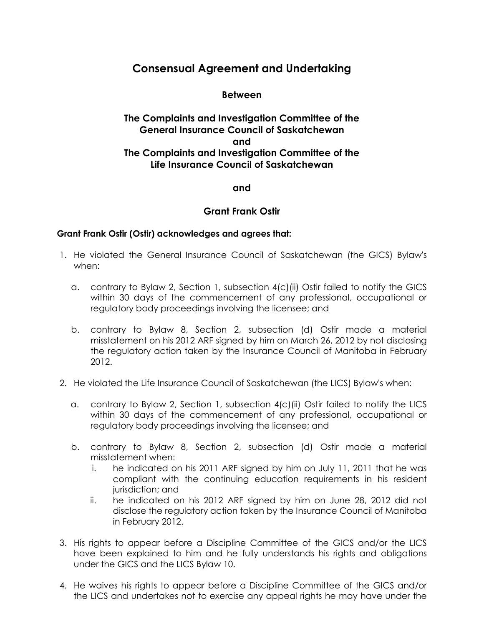# **Consensual Agreement and Undertaking**

### **Between**

# **The Complaints and Investigation Committee of the General Insurance Council of Saskatchewan and The Complaints and Investigation Committee of the Life Insurance Council of Saskatchewan**

### **and**

## **Grant Frank Ostir**

### **Grant Frank Ostir (Ostir) acknowledges and agrees that:**

- 1. He violated the General Insurance Council of Saskatchewan (the GICS) Bylaw's when:
	- a. contrary to Bylaw 2, Section 1, subsection 4(c)(ii) Ostir failed to notify the GICS within 30 days of the commencement of any professional, occupational or regulatory body proceedings involving the licensee; and
	- b. contrary to Bylaw 8, Section 2, subsection (d) Ostir made a material misstatement on his 2012 ARF signed by him on March 26, 2012 by not disclosing the regulatory action taken by the Insurance Council of Manitoba in February 2012.
- 2. He violated the Life Insurance Council of Saskatchewan (the LICS) Bylaw's when:
	- a. contrary to Bylaw 2, Section 1, subsection 4(c)(ii) Ostir failed to notify the LICS within 30 days of the commencement of any professional, occupational or regulatory body proceedings involving the licensee; and
	- b. contrary to Bylaw 8, Section 2, subsection (d) Ostir made a material misstatement when:
		- i. he indicated on his 2011 ARF signed by him on July 11, 2011 that he was compliant with the continuing education requirements in his resident jurisdiction; and
		- ii. he indicated on his 2012 ARF signed by him on June 28, 2012 did not disclose the regulatory action taken by the Insurance Council of Manitoba in February 2012.
- 3. His rights to appear before a Discipline Committee of the GICS and/or the LICS have been explained to him and he fully understands his rights and obligations under the GICS and the LICS Bylaw 10.
- 4. He waives his rights to appear before a Discipline Committee of the GICS and/or the LICS and undertakes not to exercise any appeal rights he may have under the